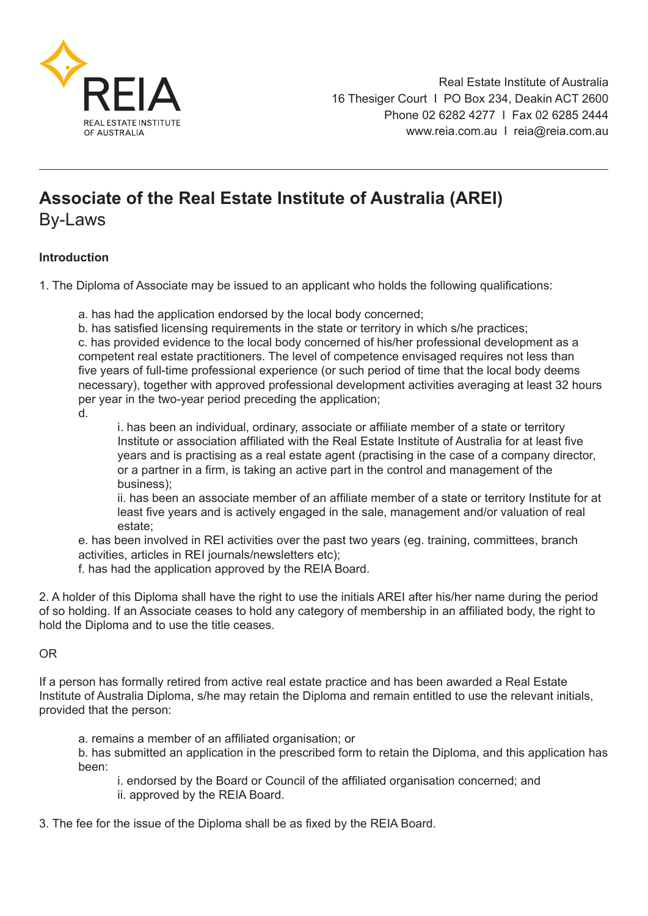

## **Associate of the Real Estate Institute of Australia (AREI)**

By-Laws

## **Introduction**

1. The Diploma of Associate may be issued to an applicant who holds the following qualifications:

a. has had the application endorsed by the local body concerned;

b. has satisfied licensing requirements in the state or territory in which s/he practices; c. has provided evidence to the local body concerned of his/her professional development as a competent real estate practitioners. The level of competence envisaged requires not less than five years of full-time professional experience (or such period of time that the local body deems necessary), together with approved professional development activities averaging at least 32 hours per year in the two-year period preceding the application;

d.

i. has been an individual, ordinary, associate or affiliate member of a state or territory Institute or association affiliated with the Real Estate Institute of Australia for at least five years and is practising as a real estate agent (practising in the case of a company director, or a partner in a firm, is taking an active part in the control and management of the business);

ii. has been an associate member of an affiliate member of a state or territory Institute for at least five years and is actively engaged in the sale, management and/or valuation of real estate;

e. has been involved in REI activities over the past two years (eg. training, committees, branch activities, articles in REI journals/newsletters etc);

f. has had the application approved by the REIA Board.

2. A holder of this Diploma shall have the right to use the initials AREI after his/her name during the period of so holding. If an Associate ceases to hold any category of membership in an affiliated body, the right to hold the Diploma and to use the title ceases.

## OR

If a person has formally retired from active real estate practice and has been awarded a Real Estate Institute of Australia Diploma, s/he may retain the Diploma and remain entitled to use the relevant initials, provided that the person:

a. remains a member of an affiliated organisation; or

b. has submitted an application in the prescribed form to retain the Diploma, and this application has been:

i. endorsed by the Board or Council of the affiliated organisation concerned; and ii. approved by the REIA Board.

3. The fee for the issue of the Diploma shall be as fixed by the REIA Board.